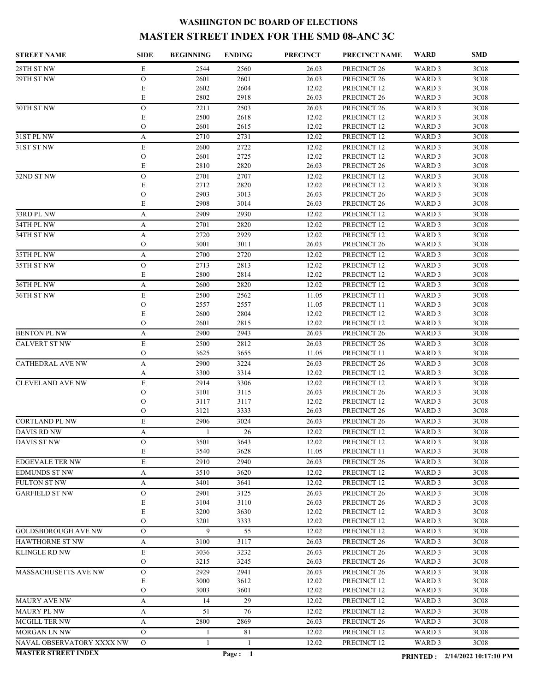## **WASHINGTON DC BOARD OF ELECTIONS MASTER STREET INDEX FOR THE SMD 08-ANC 3C**

| <b>STREET NAME</b>         | <b>SIDE</b>        | <b>BEGINNING</b> | <b>ENDING</b> | <b>PRECINCT</b> | PRECINCT NAME                         | WARD              | <b>SMD</b>                     |
|----------------------------|--------------------|------------------|---------------|-----------------|---------------------------------------|-------------------|--------------------------------|
| 28TH ST NW                 | E                  | 2544             | 2560          | 26.03           | PRECINCT <sub>26</sub>                | WARD <sub>3</sub> | 3C08                           |
| 29TH ST NW                 | $\mathcal{O}$      | 2601             | 2601          | 26.03           | PRECINCT <sub>26</sub>                | WARD 3            | 3C08                           |
|                            | E                  | 2602             | 2604          | 12.02           | PRECINCT 12                           | WARD 3            | 3C08                           |
|                            | E                  | 2802             | 2918          | 26.03           | PRECINCT 26                           | WARD 3            | 3C08                           |
| 30TH ST NW                 | $\mathcal{O}$      | 2211             | 2503          | 26.03           | PRECINCT 26                           | WARD 3            | 3C08                           |
|                            | E                  | 2500             | 2618          | 12.02           | PRECINCT 12                           | WARD 3            | 3C08                           |
|                            | $\mathcal{O}$      | 2601             | 2615          | 12.02           | PRECINCT 12                           | WARD 3            | 3C08                           |
| 31ST PL NW                 | A                  | 2710             | 2731          | 12.02           | PRECINCT 12                           | WARD 3            | 3C08                           |
| 31ST ST NW                 | $\mathbf E$        | 2600             | 2722          | 12.02           | PRECINCT 12                           | WARD 3            | 3C08                           |
|                            | $\mathcal{O}$<br>E | 2601<br>2810     | 2725<br>2820  | 12.02<br>26.03  | PRECINCT 12<br>PRECINCT 26            | WARD 3<br>WARD 3  | 3C08<br>3C08                   |
| 32ND ST NW                 | $\mathbf O$        | 2701             | 2707          | 12.02           | PRECINCT 12                           | WARD 3            | 3C08                           |
|                            | E                  | 2712             | 2820          | 12.02           | PRECINCT 12                           | WARD 3            | 3C08                           |
|                            | $\mathcal{O}$      | 2903             | 3013          | 26.03           | PRECINCT <sub>26</sub>                | WARD 3            | 3C08                           |
|                            | E                  | 2908             | 3014          | 26.03           | PRECINCT <sub>26</sub>                | WARD 3            | 3C08                           |
| 33RD PL NW                 | A                  | 2909             | 2930          | 12.02           | PRECINCT 12                           | WARD 3            | 3C08                           |
| 34TH PL NW                 | A                  | 2701             | 2820          | 12.02           | PRECINCT 12                           | WARD <sub>3</sub> | 3C08                           |
| 34TH ST NW                 | A                  | 2720             | 2929          | 12.02           | PRECINCT 12                           | WARD <sub>3</sub> | 3C08                           |
|                            | $\mathcal{O}$      | 3001             | 3011          | 26.03           | PRECINCT <sub>26</sub>                | WARD <sub>3</sub> | 3C08                           |
| 35TH PL NW                 | A                  | 2700             | 2720          | 12.02           | PRECINCT 12                           | WARD 3            | 3C08                           |
| 35TH ST NW                 | $\mathcal{O}$      | 2713             | 2813          | 12.02           | PRECINCT 12                           | WARD 3            | 3C08                           |
|                            | E                  | 2800             | 2814          | 12.02           | PRECINCT 12                           | WARD 3            | 3C08                           |
| 36TH PL NW                 | A                  | 2600             | 2820          | 12.02           | PRECINCT 12                           | WARD 3            | 3C08                           |
| 36TH ST NW                 | E                  | 2500             | 2562          | 11.05           | PRECINCT 11                           | WARD 3            | 3C08                           |
|                            | $\mathcal{O}$      | 2557             | 2557          | 11.05           | PRECINCT 11                           | WARD 3            | 3C08                           |
|                            | E                  | 2600             | 2804          | 12.02           | PRECINCT 12                           | WARD 3            | 3C08                           |
|                            | $\overline{O}$     | 2601             | 2815          | 12.02           | PRECINCT 12                           | WARD 3            | 3C08                           |
| <b>BENTON PL NW</b>        | A                  | 2900             | 2943          | 26.03           | PRECINCT <sub>26</sub>                | WARD 3            | 3C08                           |
| CALVERT ST NW              | E                  | 2500             | 2812          | 26.03           | PRECINCT <sub>26</sub>                | WARD 3            | 3C08                           |
|                            | $\mathcal{O}$      | 3625             | 3655          | 11.05           | PRECINCT 11                           | WARD 3            | 3C08                           |
| <b>CATHEDRAL AVE NW</b>    | A<br>A             | 2900<br>3300     | 3224<br>3314  | 26.03<br>12.02  | PRECINCT <sub>26</sub><br>PRECINCT 12 | WARD 3<br>WARD 3  | 3C08<br>3C08                   |
| <b>CLEVELAND AVE NW</b>    | E                  | 2914             | 3306          | 12.02           | PRECINCT 12                           | WARD 3            | 3C08                           |
|                            | $\mathcal{O}$      | 3101             | 3115          | 26.03           | PRECINCT <sub>26</sub>                | WARD 3            | 3C08                           |
|                            | $\mathcal{O}$      | 3117             | 3117          | 12.02           | PRECINCT 12                           | WARD 3            | 3C08                           |
|                            | $\mathcal{O}$      | 3121             | 3333          | 26.03           | PRECINCT 26                           | WARD 3            | 3C08                           |
| <b>CORTLAND PL NW</b>      | E                  | 2906             | 3024          | 26.03           | PRECINCT 26                           | WARD 3            | 3C08                           |
| <b>DAVIS RD NW</b>         | A                  |                  | 26            | 12.02           | PRECINCT 12                           | WARD <sub>3</sub> | 3C08                           |
| DAVIS ST NW                | $\overline{O}$     | 3501             | 3643          | 12.02           | PRECINCT 12                           | WARD 3            | 3C08                           |
|                            | E                  | 3540             | 3628          | 11.05           | PRECINCT 11                           | WARD 3            | 3C08                           |
| <b>EDGEVALE TER NW</b>     | E                  | 2910             | 2940          | 26.03           | PRECINCT <sub>26</sub>                | WARD <sub>3</sub> | 3C08                           |
| <b>EDMUNDS ST NW</b>       | A                  | 3510             | 3620          | 12.02           | PRECINCT 12                           | WARD 3            | 3C08                           |
| FULTON ST NW               | A                  | 3401             | 3641          | 12.02           | PRECINCT 12                           | WARD 3            | 3C <sub>08</sub>               |
| <b>GARFIELD ST NW</b>      | $\mathcal{O}$      | 2901             | 3125          | 26.03           | PRECINCT 26                           | WARD 3            | 3C08                           |
|                            | E                  | 3104             | 3110          | 26.03           | PRECINCT 26                           | WARD 3            | 3C08                           |
|                            | E                  | 3200             | 3630          | 12.02           | PRECINCT 12                           | WARD 3            | 3C08                           |
|                            | $\overline{O}$     | 3201             | 3333          | 12.02           | PRECINCT 12                           | WARD 3            | 3C08                           |
| <b>GOLDSBOROUGH AVE NW</b> | $\overline{O}$     | 9                | 55            | 12.02           | PRECINCT 12                           | WARD 3            | 3C08                           |
| <b>HAWTHORNE ST NW</b>     | A                  | 3100             | 3117          | 26.03           | PRECINCT 26                           | WARD 3            | 3C08                           |
| KLINGLE RD NW              | E                  | 3036             | 3232          | 26.03           | PRECINCT 26                           | WARD 3            | 3C08                           |
|                            | $\mathcal{O}$      | 3215             | 3245          | 26.03           | PRECINCT 26                           | WARD 3            | 3C08                           |
| MASSACHUSETTS AVE NW       | $\mathcal{O}$<br>E | 2929<br>3000     | 2941<br>3612  | 26.03<br>12.02  | PRECINCT 26<br>PRECINCT 12            | WARD 3<br>WARD 3  | 3C08<br>3C08                   |
|                            | $\mathcal{O}$      | 3003             | 3601          | 12.02           | PRECINCT 12                           | WARD 3            | 3C08                           |
| MAURY AVE NW               | A                  | 14               | 29            | 12.02           | PRECINCT 12                           | WARD 3            | 3C08                           |
| <b>MAURY PL NW</b>         | А                  | 51               | 76            | 12.02           | PRECINCT 12                           | WARD 3            | 3C <sub>08</sub>               |
| MCGILL TER NW              | А                  | 2800             | 2869          | 26.03           | PRECINCT 26                           | WARD 3            | 3C08                           |
| MORGAN LN NW               | $\mathcal{O}$      | -1               | 81            | 12.02           | PRECINCT 12                           | WARD 3            | 3C <sub>08</sub>               |
| NAVAL OBSERVATORY XXXX NW  | $\mathcal{O}$      | 1                | -1            | 12.02           | PRECINCT 12                           | WARD 3            | 3C <sub>08</sub>               |
| <b>MASTER STREET INDEX</b> |                    |                  | Page: 1       |                 |                                       |                   |                                |
|                            |                    |                  |               |                 |                                       |                   | PRINTED: 2/14/2022 10:17:10 PM |